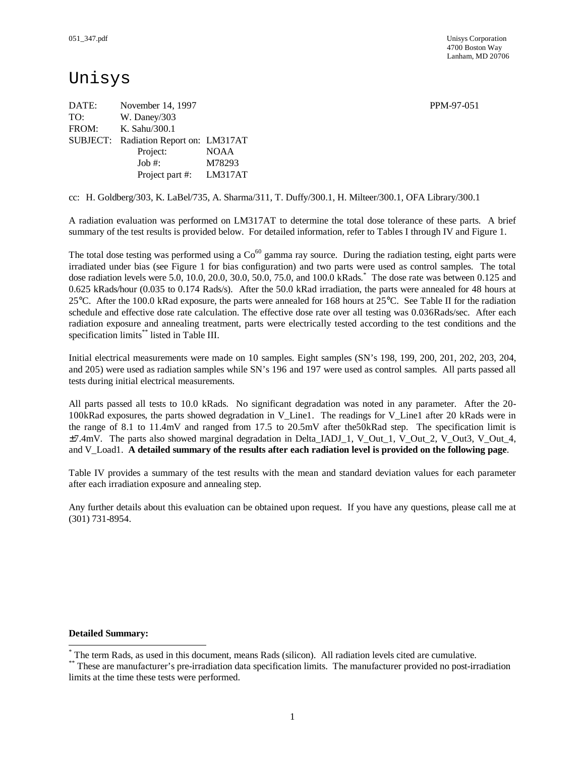## Unisys

DATE: November 14, 1997 **PPM-97-051** TO: W. Daney/303 FROM: K. Sahu/300.1 SUBJECT: Radiation Report on: LM317AT Project: NOAA Job #: M78293 Project part #: LM317AT

cc: H. Goldberg/303, K. LaBel/735, A. Sharma/311, T. Duffy/300.1, H. Milteer/300.1, OFA Library/300.1

A radiation evaluation was performed on LM317AT to determine the total dose tolerance of these parts. A brief summary of the test results is provided below. For detailed information, refer to Tables I through IV and Figure 1.

The total dose testing was performed using a  $Co^{60}$  gamma ray source. During the radiation testing, eight parts were irradiated under bias (see Figure 1 for bias configuration) and two parts were used as control samples. The total dose radiation levels were 5.0, 10.0, 20.0, 30.0, 50.0, 75.0, and 100.0 kRads. \* The dose rate was between 0.125 and 0.625 kRads/hour (0.035 to 0.174 Rads/s). After the 50.0 kRad irradiation, the parts were annealed for 48 hours at 25°C. After the 100.0 kRad exposure, the parts were annealed for 168 hours at 25°C. See Table II for the radiation schedule and effective dose rate calculation. The effective dose rate over all testing was 0.036Rads/sec. After each radiation exposure and annealing treatment, parts were electrically tested according to the test conditions and the specification limits\*\* listed in Table III.

Initial electrical measurements were made on 10 samples. Eight samples (SN's 198, 199, 200, 201, 202, 203, 204, and 205) were used as radiation samples while SN's 196 and 197 were used as control samples. All parts passed all tests during initial electrical measurements.

All parts passed all tests to 10.0 kRads. No significant degradation was noted in any parameter. After the 20- 100kRad exposures, the parts showed degradation in V\_Line1. The readings for V\_Line1 after 20 kRads were in the range of 8.1 to 11.4mV and ranged from 17.5 to 20.5mV after the50kRad step. The specification limit is ±7.4mV. The parts also showed marginal degradation in Delta\_IADJ\_1, V\_Out\_1, V\_Out\_2, V\_Out3, V\_Out\_4, and V\_Load1. **A detailed summary of the results after each radiation level is provided on the following page**.

Table IV provides a summary of the test results with the mean and standard deviation values for each parameter after each irradiation exposure and annealing step.

Any further details about this evaluation can be obtained upon request. If you have any questions, please call me at (301) 731-8954.

#### **Detailed Summary:**

-

<sup>\*</sup> The term Rads, as used in this document, means Rads (silicon). All radiation levels cited are cumulative.

<sup>\*\*</sup> These are manufacturer's pre-irradiation data specification limits. The manufacturer provided no post-irradiation limits at the time these tests were performed.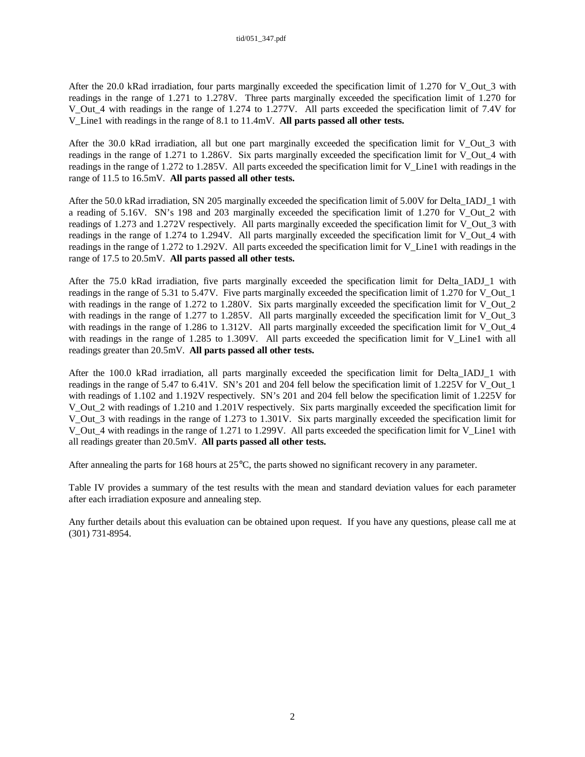After the 20.0 kRad irradiation, four parts marginally exceeded the specification limit of 1.270 for V\_Out\_3 with readings in the range of 1.271 to 1.278V. Three parts marginally exceeded the specification limit of 1.270 for V\_Out\_4 with readings in the range of 1.274 to 1.277V. All parts exceeded the specification limit of 7.4V for V\_Line1 with readings in the range of 8.1 to 11.4mV. **All parts passed all other tests.**

After the 30.0 kRad irradiation, all but one part marginally exceeded the specification limit for V\_Out\_3 with readings in the range of 1.271 to 1.286V. Six parts marginally exceeded the specification limit for V\_Out\_4 with readings in the range of 1.272 to 1.285V. All parts exceeded the specification limit for V\_Line1 with readings in the range of 11.5 to 16.5mV. **All parts passed all other tests.**

After the 50.0 kRad irradiation, SN 205 marginally exceeded the specification limit of 5.00V for Delta IADJ\_1 with a reading of 5.16V. SN's 198 and 203 marginally exceeded the specification limit of 1.270 for V\_Out\_2 with readings of 1.273 and 1.272V respectively. All parts marginally exceeded the specification limit for V\_Out\_3 with readings in the range of 1.274 to 1.294V. All parts marginally exceeded the specification limit for V\_Out\_4 with readings in the range of 1.272 to 1.292V. All parts exceeded the specification limit for V\_Line1 with readings in the range of 17.5 to 20.5mV. **All parts passed all other tests.**

After the 75.0 kRad irradiation, five parts marginally exceeded the specification limit for Delta\_IADJ\_1 with readings in the range of 5.31 to 5.47V. Five parts marginally exceeded the specification limit of 1.270 for V\_Out\_1 with readings in the range of 1.272 to 1.280V. Six parts marginally exceeded the specification limit for V\_Out\_2 with readings in the range of 1.277 to 1.285V. All parts marginally exceeded the specification limit for V\_Out\_3 with readings in the range of  $1.286$  to  $1.312V$ . All parts marginally exceeded the specification limit for V Out  $4$ with readings in the range of 1.285 to 1.309V. All parts exceeded the specification limit for V Line1 with all readings greater than 20.5mV. **All parts passed all other tests.**

After the 100.0 kRad irradiation, all parts marginally exceeded the specification limit for Delta\_IADJ\_1 with readings in the range of 5.47 to 6.41V. SN's 201 and 204 fell below the specification limit of 1.225V for V\_Out\_1 with readings of 1.102 and 1.192V respectively. SN's 201 and 204 fell below the specification limit of 1.225V for V\_Out\_2 with readings of 1.210 and 1.201V respectively. Six parts marginally exceeded the specification limit for V\_Out\_3 with readings in the range of 1.273 to 1.301V. Six parts marginally exceeded the specification limit for V\_Out\_4 with readings in the range of 1.271 to 1.299V. All parts exceeded the specification limit for V\_Line1 with all readings greater than 20.5mV. **All parts passed all other tests.**

After annealing the parts for 168 hours at  $25^{\circ}$ C, the parts showed no significant recovery in any parameter.

Table IV provides a summary of the test results with the mean and standard deviation values for each parameter after each irradiation exposure and annealing step.

Any further details about this evaluation can be obtained upon request. If you have any questions, please call me at (301) 731-8954.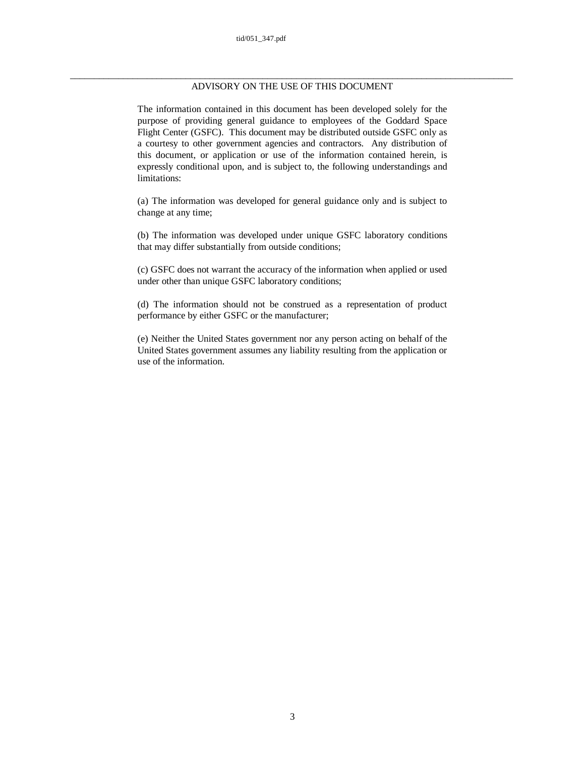### \_\_\_\_\_\_\_\_\_\_\_\_\_\_\_\_\_\_\_\_\_\_\_\_\_\_\_\_\_\_\_\_\_\_\_\_\_\_\_\_\_\_\_\_\_\_\_\_\_\_\_\_\_\_\_\_\_\_\_\_\_\_\_\_\_\_\_\_\_\_\_\_\_\_\_\_\_\_\_\_\_\_\_\_\_\_\_\_\_\_\_\_ ADVISORY ON THE USE OF THIS DOCUMENT

The information contained in this document has been developed solely for the purpose of providing general guidance to employees of the Goddard Space Flight Center (GSFC). This document may be distributed outside GSFC only as a courtesy to other government agencies and contractors. Any distribution of this document, or application or use of the information contained herein, is expressly conditional upon, and is subject to, the following understandings and limitations:

(a) The information was developed for general guidance only and is subject to change at any time;

(b) The information was developed under unique GSFC laboratory conditions that may differ substantially from outside conditions;

(c) GSFC does not warrant the accuracy of the information when applied or used under other than unique GSFC laboratory conditions;

(d) The information should not be construed as a representation of product performance by either GSFC or the manufacturer;

(e) Neither the United States government nor any person acting on behalf of the United States government assumes any liability resulting from the application or use of the information.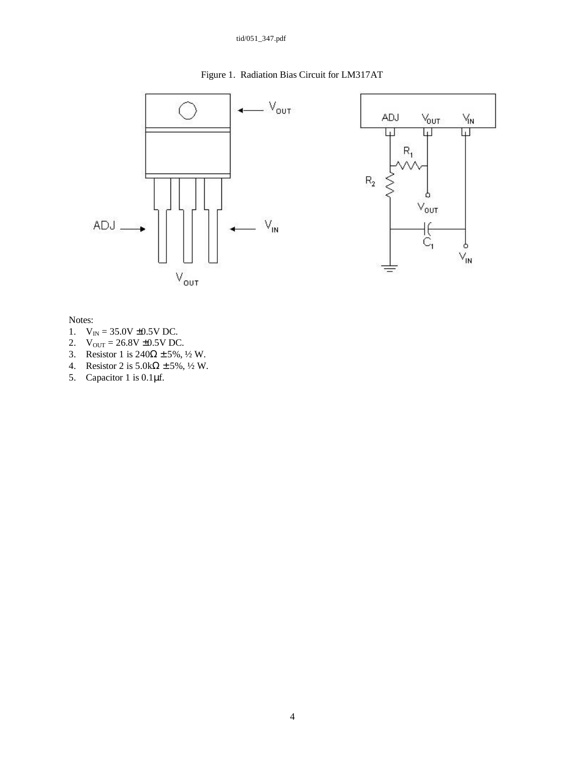### tid/051\_347.pdf

### Figure 1. Radiation Bias Circuit for LM317AT

 $V_{\text{IN}}$ 

⊡

þ  $\vee_{\mathsf{IN}}$ 



Notes:

- 1.  $V_{IN} = 35.0V \pm 0.5V$  DC.
- 2.  $V_{OUT} = 26.8V \pm 0.5V$  DC.
- 3. Resistor 1 is  $240\Omega \pm 5\%$ ,  $\frac{1}{2}$  W.
- 4. Resistor 2 is  $5.0\text{k}\Omega \pm 5\%$ ,  $\frac{1}{2}$  W.
- 5. Capacitor 1 is 0.1μf.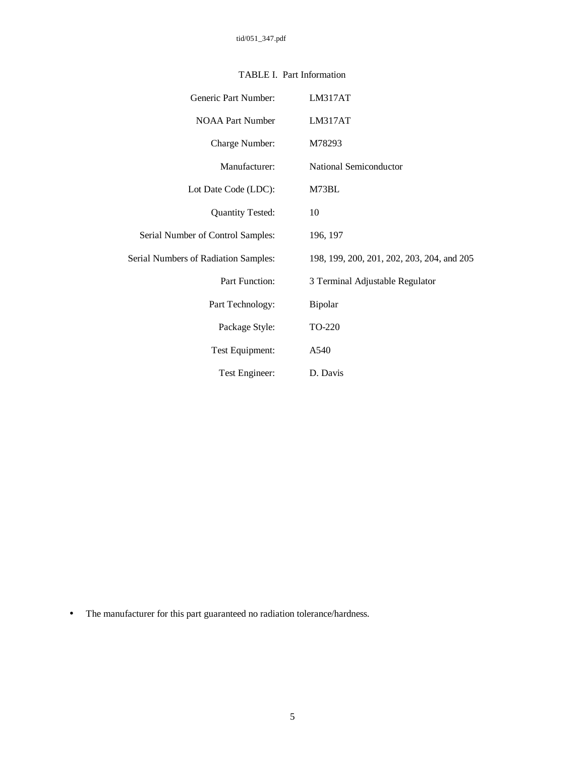| Generic Part Number:                 | LM317AT                                    |
|--------------------------------------|--------------------------------------------|
| <b>NOAA Part Number</b>              | LM317AT                                    |
| Charge Number:                       | M78293                                     |
| Manufacturer:                        | National Semiconductor                     |
| Lot Date Code (LDC):                 | M73BL                                      |
| <b>Quantity Tested:</b>              | 10                                         |
| Serial Number of Control Samples:    | 196, 197                                   |
| Serial Numbers of Radiation Samples: | 198, 199, 200, 201, 202, 203, 204, and 205 |
| <b>Part Function:</b>                | 3 Terminal Adjustable Regulator            |
| Part Technology:                     | Bipolar                                    |
| Package Style:                       | TO-220                                     |
| Test Equipment:                      | A540                                       |
| Test Engineer:                       | D. Davis                                   |

### TABLE I. Part Information

• The manufacturer for this part guaranteed no radiation tolerance/hardness.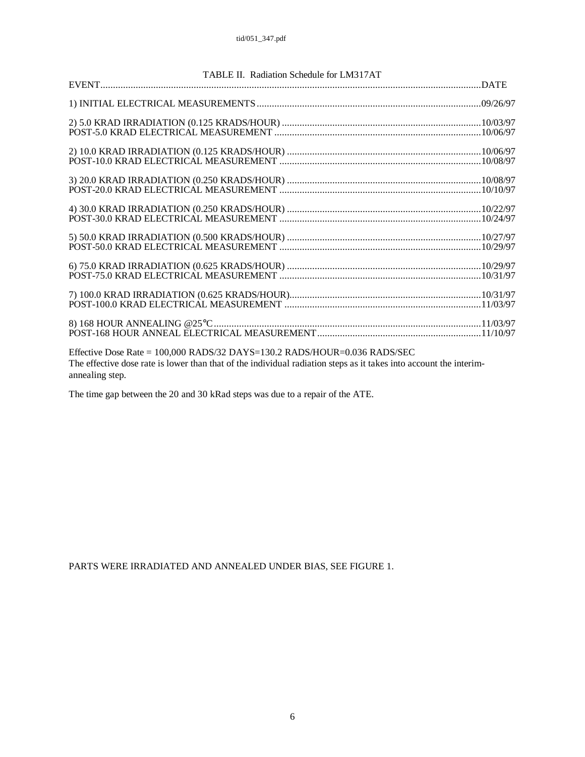|                 | TABLE II. Radiation Schedule for LM317AT                                                                           |  |
|-----------------|--------------------------------------------------------------------------------------------------------------------|--|
|                 |                                                                                                                    |  |
|                 |                                                                                                                    |  |
|                 |                                                                                                                    |  |
|                 |                                                                                                                    |  |
|                 |                                                                                                                    |  |
|                 |                                                                                                                    |  |
|                 |                                                                                                                    |  |
|                 |                                                                                                                    |  |
|                 |                                                                                                                    |  |
|                 |                                                                                                                    |  |
|                 |                                                                                                                    |  |
|                 |                                                                                                                    |  |
|                 |                                                                                                                    |  |
|                 |                                                                                                                    |  |
|                 |                                                                                                                    |  |
|                 |                                                                                                                    |  |
|                 |                                                                                                                    |  |
|                 |                                                                                                                    |  |
|                 | Effective Dose Rate = 100,000 RADS/32 DAYS=130.2 RADS/HOUR=0.036 RADS/SEC                                          |  |
| annealing step. | The effective dose rate is lower than that of the individual radiation steps as it takes into account the interim- |  |

The time gap between the 20 and 30 kRad steps was due to a repair of the ATE.

PARTS WERE IRRADIATED AND ANNEALED UNDER BIAS, SEE FIGURE 1.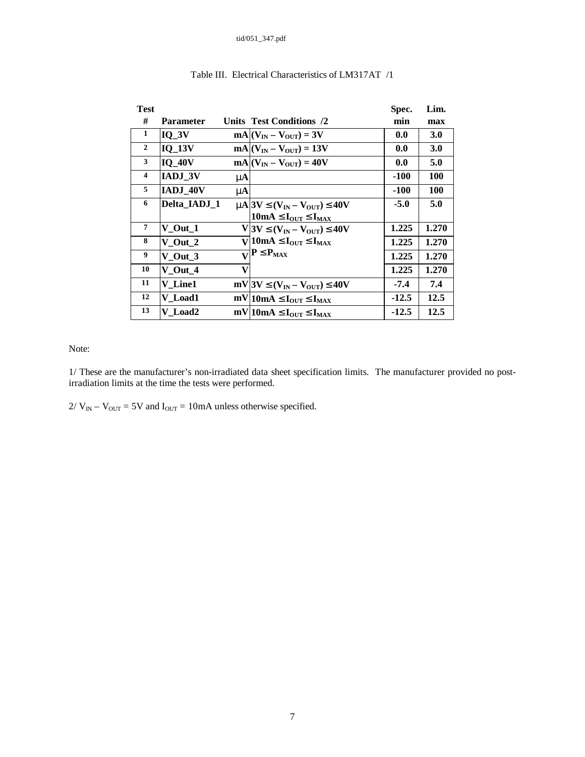| <b>Test</b>    |                |   |                                                                                                           | Spec.   | Lim.       |
|----------------|----------------|---|-----------------------------------------------------------------------------------------------------------|---------|------------|
| #              | Parameter      |   | <b>Units Test Conditions /2</b>                                                                           | min     | max        |
| $\mathbf{1}$   | $IQ_3V$        |   | $mA (V_{IN} - V_{OUT}) = 3V$                                                                              | 0.0     | <b>3.0</b> |
| $\overline{2}$ | <b>IQ 13V</b>  |   | $mA (V_{IN} - V_{OUT}) = 13V$                                                                             | 0.0     | <b>3.0</b> |
| $\mathbf{3}$   | $IQ_40V$       |   | $mA (V_{IN} - V_{OUT}) = 40V$                                                                             | 0.0     | 5.0        |
| $\overline{4}$ | <b>IADJ 3V</b> | m |                                                                                                           | -100    | <b>100</b> |
| 5              | IADJ 40V       | m |                                                                                                           | -100    | <b>100</b> |
| 6              | Delta IADJ 1   |   | $m\approx 3V \mathbf{E}(V_{IN}-V_{OUT}) \mathbf{E}40V$                                                    | -5.0    | 5.0        |
|                |                |   | 10mA $\mathbf{E}\mathbf{I}_{\text{OUT}}\mathbf{\mathbf{\mathbb{E}}}\mathbf{I}_{\text{MAX}}$               |         |            |
| $\overline{7}$ | $V_$ Out $_1$  |   | $V$  3V £(V <sub>IN</sub> – V <sub>OUT</sub> ) £40V                                                       | 1.225   | 1.270      |
| 8              | $V_$ Out $_2$  |   | $\overline{\text{V}}$ 10mA £I <sub>OUT</sub> £I <sub>MAX</sub>                                            | 1.225   | 1.270      |
| 9              | V Out 3        |   | $\overline{\mathbf{V}}$ P £P <sub>MAX</sub>                                                               | 1.225   | 1.270      |
| 10             | V Out 4        | V |                                                                                                           | 1.225   | 1.270      |
| 11             | V Line1        |   | mV 3V $\mathbf{\mathfrak{L}}(\mathbf{V}_{\text{IN}} - \mathbf{V}_{\text{OUT}}) \mathbf{\mathfrak{L}}$ 40V | $-7.4$  | 7.4        |
| 12             | V Load1        |   | $mV 10mA \mathbf{E}I_{\text{OUT}} \mathbf{E}I_{\text{MAX}}$                                               | $-12.5$ | 12.5       |
| 13             | V Load2        |   | $mV 10mA \mathbf{E}I_{\text{OUT}} \mathbf{E}I_{\text{MAX}}$                                               | $-12.5$ | 12.5       |

### Table III. Electrical Characteristics of LM317AT /1

Note:

1/ These are the manufacturer's non-irradiated data sheet specification limits. The manufacturer provided no postirradiation limits at the time the tests were performed.

 $2/V_{\text{IN}} - V_{\text{OUT}} = 5V$  and  $I_{\text{OUT}} = 10 \text{mA}$  unless otherwise specified.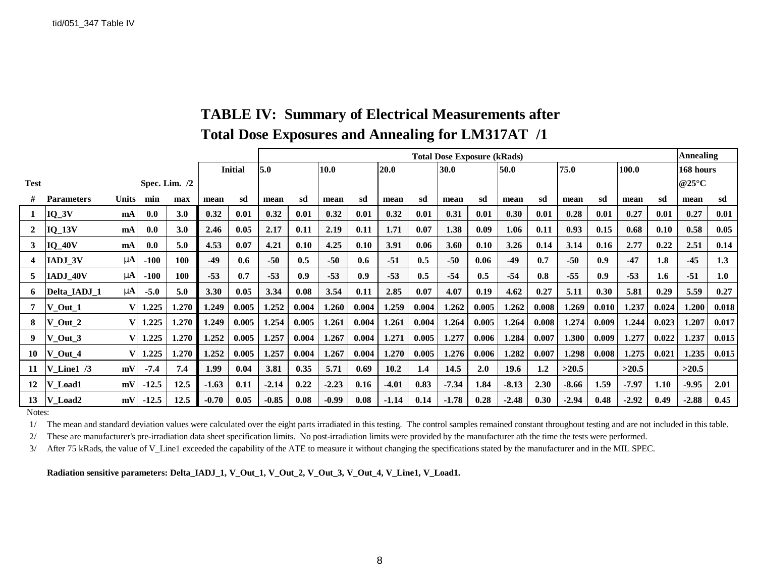|              |                     |              |         |                 |         |                | <b>Total Dose Exposure (kRads)</b> |       |         |       |         |       |         |       |              | <b>Annealing</b> |         |       |         |       |                          |       |
|--------------|---------------------|--------------|---------|-----------------|---------|----------------|------------------------------------|-------|---------|-------|---------|-------|---------|-------|--------------|------------------|---------|-------|---------|-------|--------------------------|-------|
|              |                     |              |         |                 |         | <b>Initial</b> | 5.0<br>10.0                        |       |         |       | 20.0    | 30.0  |         |       | 75.0<br>50.0 |                  |         |       | 100.0   |       | 168 hours                |       |
| <b>Test</b>  |                     |              |         | Spec. Lim. $/2$ |         |                |                                    |       |         |       |         |       |         |       |              |                  |         |       |         |       | @25 $\mathrm{^{\circ}C}$ |       |
| #            | <b>Parameters</b>   | <b>Units</b> | min     | max             | mean    | sd             | mean                               | sd    | mean    | sd    | mean    | sd    | mean    | sd    | mean         | sd               | mean    | sd    | mean    | sd    | mean                     | sd    |
| 1            | $IQ_3V$             | mA           | 0.0     | 3.0             | 0.32    | 0.01           | 0.32                               | 0.01  | 0.32    | 0.01  | 0.32    | 0.01  | 0.31    | 0.01  | 0.30         | 0.01             | 0.28    | 0.01  | 0.27    | 0.01  | 0.27                     | 0.01  |
| $\mathbf{2}$ | $IQ_13V$            | mA           | 0.0     | 3.0             | 2.46    | 0.05           | 2.17                               | 0.11  | 2.19    | 0.11  | 1.71    | 0.07  | 1.38    | 0.09  | 1.06         | 0.11             | 0.93    | 0.15  | 0.68    | 0.10  | 0.58                     | 0.05  |
| 3            | $IQ_40V$            | mA           | 0.0     | 5.0             | 4.53    | 0.07           | 4.21                               | 0.10  | 4.25    | 0.10  | 3.91    | 0.06  | 3.60    | 0.10  | 3.26         | 0.14             | 3.14    | 0.16  | 2.77    | 0.22  | 2.51                     | 0.14  |
| 4            | IADJ 3V             | mA           | $-100$  | 100             | $-49$   | 0.6            | $-50$                              | 0.5   | $-50$   | 0.6   | $-51$   | 0.5   | $-50$   | 0.06  | -49          | 0.7              | $-50$   | 0.9   | $-47$   | 1.8   | $-45$                    | 1.3   |
| 5.           | IADJ 40V            | m            | $-100$  | 100             | $-53$   | 0.7            | $-53$                              | 0.9   | $-53$   | 0.9   | $-53$   | 0.5   | $-54$   | 0.5   | $-54$        | 0.8              | $-55$   | 0.9   | $-53$   | 1.6   | $-51$                    | 1.0   |
| 6            | <b>Delta IADJ 1</b> | m            | $-5.0$  | 5.0             | 3.30    | 0.05           | 3.34                               | 0.08  | 3.54    | 0.11  | 2.85    | 0.07  | 4.07    | 0.19  | 4.62         | 0.27             | 5.11    | 0.30  | 5.81    | 0.29  | 5.59                     | 0.27  |
| 7            | $V_$ Out $_1$       |              | 1.225   | 1.270           | 1.249   | 0.005          | 1.252                              | 0.004 | 1.260   | 0.004 | 1.259   | 0.004 | 1.262   | 0.005 | 1.262        | 0.008            | 1.269   | 0.010 | 1.237   | 0.024 | 1.200                    | 0.018 |
| 8            | $V_$ Out_2          |              | 1.225   | 1.270           | 1.249   | 0.005          | 1.254                              | 0.005 | 1.261   | 0.004 | 1.261   | 0.004 | 1.264   | 0.005 | 1.264        | 0.008            | 1.274   | 0.009 | 1.244   | 0.023 | 1.207                    | 0.017 |
| 9            | $V_$ Out_3          |              | 1.225   | 1.270           | 1.252   | 0.005          | 1.257                              | 0.004 | 1.267   | 0.004 | 1.271   | 0.005 | 1.277   | 0.006 | 1.284        | 0.007            | 1.300   | 0.009 | 1.277   | 0.022 | 1.237                    | 0.015 |
| 10           | $V_$ Out_4          | V            | 1.225   | 1.270           | 1.252   | 0.005          | 1.257                              | 0.004 | 1.267   | 0.004 | 1.270   | 0.005 | 1.276   | 0.006 | 1.282        | 0.007            | 1.298   | 0.008 | 1.275   | 0.021 | 1.235                    | 0.015 |
| 11           | V Line $1/3$        | mV           | $-7.4$  | 7.4             | 1.99    | 0.04           | 3.81                               | 0.35  | 5.71    | 0.69  | 10.2    | 1.4   | 14.5    | 2.0   | 19.6         | 1.2              | >20.5   |       | >20.5   |       | >20.5                    |       |
| 12           | V Load1             | mV           | $-12.5$ | 12.5            | $-1.63$ | 0.11           | $-2.14$                            | 0.22  | $-2.23$ | 0.16  | $-4.01$ | 0.83  | $-7.34$ | 1.84  | $-8.13$      | 2.30             | $-8.66$ | 1.59  | $-7.97$ | 1.10  | $-9.95$                  | 2.01  |
| 13           | V_Load2             | mV           | $-12.5$ | 12.5            | $-0.70$ | 0.05           | $-0.85$                            | 0.08  | $-0.99$ | 0.08  | $-1.14$ | 0.14  | $-1.78$ | 0.28  | $-2.48$      | 0.30             | $-2.94$ | 0.48  | $-2.92$ | 0.49  | $-2.88$                  | 0.45  |

# **TABLE IV: Summary of Electrical Measurements after Total Dose Exposures and Annealing for LM317AT /1**

Notes:

1/ The mean and standard deviation values were calculated over the eight parts irradiated in this testing. The control samples remained constant throughout testing and are not included in this table.

2/ These are manufacturer's pre-irradiation data sheet specification limits. No post-irradiation limits were provided by the manufacturer ath the time the tests were performed.

3/ After 75 kRads, the value of V\_Line1 exceeded the capability of the ATE to measure it without changing the specifications stated by the manufacturer and in the MIL SPEC.

**Radiation sensitive parameters: Delta\_IADJ\_1, V\_Out\_1, V\_Out\_2, V\_Out\_3, V\_Out\_4, V\_Line1, V\_Load1.**